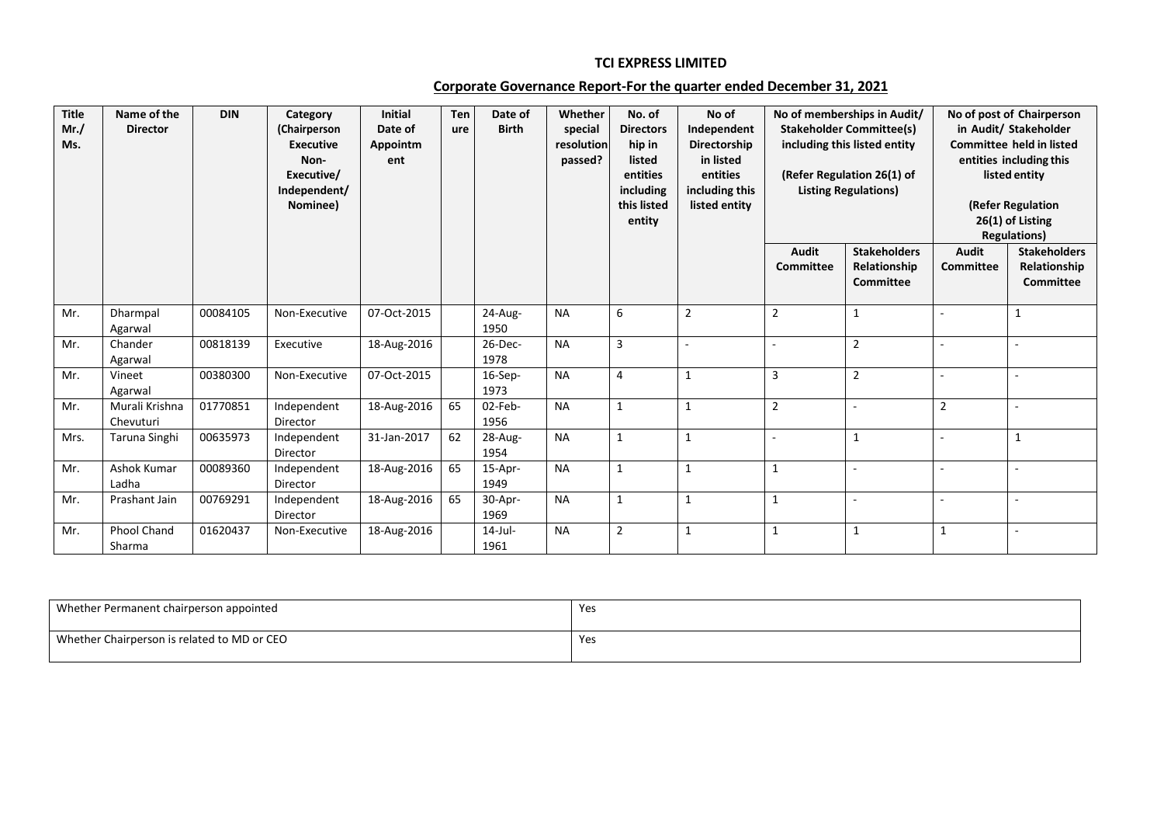## **TCI EXPRESS LIMITED**

## **Corporate Governance Report-For the quarter ended December 31, 2021**

| <b>Title</b><br>Mr. /<br>Ms. | Name of the<br><b>Director</b> | <b>DIN</b> | Category<br>(Chairperson<br><b>Executive</b><br>Non-<br>Executive/<br>Independent/<br>Nominee) | <b>Initial</b><br>Date of<br>Appointm<br>ent | <b>Ten</b><br>ure | Date of<br><b>Birth</b> | Whether<br>special<br>resolution<br>passed? | No. of<br><b>Directors</b><br>hip in<br>listed<br>entities<br>including<br>this listed<br>entity | No of<br>Independent<br>Directorship<br>in listed<br>entities<br>including this<br>listed entity |                           | No of memberships in Audit/<br><b>Stakeholder Committee(s)</b><br>including this listed entity<br>(Refer Regulation 26(1) of<br><b>Listing Regulations)</b> |                                  | No of post of Chairperson<br>in Audit/ Stakeholder<br><b>Committee held in listed</b><br>entities including this<br>listed entity<br>(Refer Regulation<br>26(1) of Listing<br><b>Regulations)</b> |
|------------------------------|--------------------------------|------------|------------------------------------------------------------------------------------------------|----------------------------------------------|-------------------|-------------------------|---------------------------------------------|--------------------------------------------------------------------------------------------------|--------------------------------------------------------------------------------------------------|---------------------------|-------------------------------------------------------------------------------------------------------------------------------------------------------------|----------------------------------|---------------------------------------------------------------------------------------------------------------------------------------------------------------------------------------------------|
|                              |                                |            |                                                                                                |                                              |                   |                         |                                             |                                                                                                  |                                                                                                  | Audit<br><b>Committee</b> | <b>Stakeholders</b><br>Relationship<br><b>Committee</b>                                                                                                     | <b>Audit</b><br><b>Committee</b> | <b>Stakeholders</b><br>Relationship<br>Committee                                                                                                                                                  |
| Mr.                          | Dharmpal<br>Agarwal            | 00084105   | Non-Executive                                                                                  | 07-Oct-2015                                  |                   | $24-Au$ g-<br>1950      | <b>NA</b>                                   | 6                                                                                                | $\overline{2}$                                                                                   | $\overline{2}$            | $\mathbf{1}$                                                                                                                                                |                                  | $\mathbf{1}$                                                                                                                                                                                      |
| Mr.                          | Chander<br>Agarwal             | 00818139   | Executive                                                                                      | 18-Aug-2016                                  |                   | $26$ -Dec-<br>1978      | <b>NA</b>                                   | $\overline{3}$                                                                                   |                                                                                                  |                           | $\overline{2}$                                                                                                                                              |                                  |                                                                                                                                                                                                   |
| Mr.                          | Vineet<br>Agarwal              | 00380300   | Non-Executive                                                                                  | 07-Oct-2015                                  |                   | 16-Sep-<br>1973         | <b>NA</b>                                   | 4                                                                                                | -1                                                                                               | $\overline{3}$            | $\overline{2}$                                                                                                                                              |                                  |                                                                                                                                                                                                   |
| Mr.                          | Murali Krishna<br>Chevuturi    | 01770851   | Independent<br>Director                                                                        | 18-Aug-2016                                  | 65                | 02-Feb-<br>1956         | <b>NA</b>                                   | $\mathbf{1}$                                                                                     | $\mathbf{1}$                                                                                     | $\overline{2}$            |                                                                                                                                                             | $\overline{2}$                   |                                                                                                                                                                                                   |
| Mrs.                         | Taruna Singhi                  | 00635973   | Independent<br>Director                                                                        | 31-Jan-2017                                  | 62                | 28-Aug-<br>1954         | <b>NA</b>                                   | $\mathbf{1}$                                                                                     | $\mathbf{1}$                                                                                     | $\overline{\phantom{a}}$  | $\mathbf{1}$                                                                                                                                                |                                  | $\mathbf{1}$                                                                                                                                                                                      |
| Mr.                          | Ashok Kumar<br>Ladha           | 00089360   | Independent<br>Director                                                                        | 18-Aug-2016                                  | 65                | 15-Apr-<br>1949         | <b>NA</b>                                   | $\mathbf{1}$                                                                                     | $\mathbf{1}$                                                                                     | $\mathbf{1}$              |                                                                                                                                                             |                                  |                                                                                                                                                                                                   |
| Mr.                          | Prashant Jain                  | 00769291   | Independent<br>Director                                                                        | 18-Aug-2016                                  | 65                | 30-Apr-<br>1969         | <b>NA</b>                                   | $\mathbf{1}$                                                                                     | $\mathbf{1}$                                                                                     | 1                         |                                                                                                                                                             |                                  |                                                                                                                                                                                                   |
| Mr.                          | <b>Phool Chand</b><br>Sharma   | 01620437   | Non-Executive                                                                                  | 18-Aug-2016                                  |                   | $14$ -Jul-<br>1961      | <b>NA</b>                                   | $\overline{2}$                                                                                   | $\mathbf{1}$                                                                                     | 1                         | $\mathbf{1}$                                                                                                                                                | 1                                |                                                                                                                                                                                                   |

| Whether Permanent chairperson appointed     | Yes |
|---------------------------------------------|-----|
| Whether Chairperson is related to MD or CEO | Yes |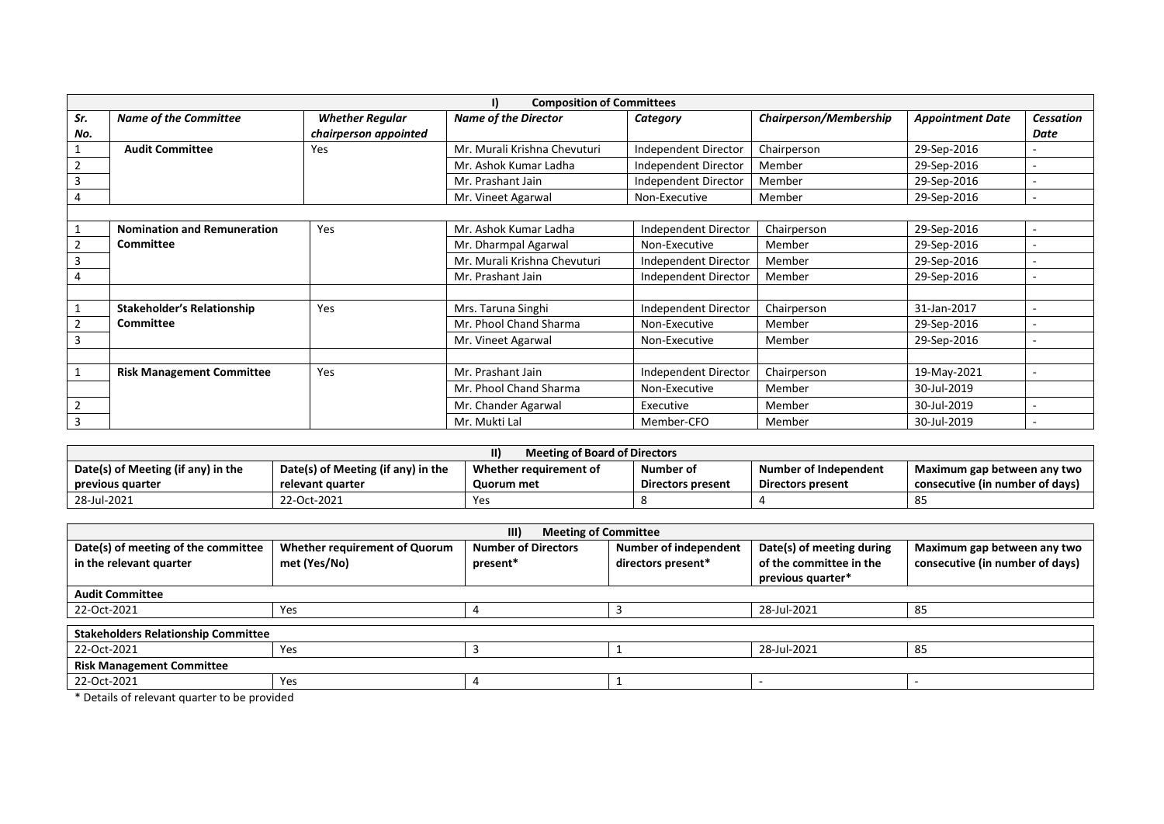| <b>Composition of Committees</b><br>I) |                                    |                        |                              |                             |                        |                         |                  |  |  |
|----------------------------------------|------------------------------------|------------------------|------------------------------|-----------------------------|------------------------|-------------------------|------------------|--|--|
| Sr.                                    | <b>Name of the Committee</b>       | <b>Whether Regular</b> | <b>Name of the Director</b>  | Category                    | Chairperson/Membership | <b>Appointment Date</b> | <b>Cessation</b> |  |  |
| No.                                    | chairperson appointed              |                        |                              |                             |                        |                         | Date             |  |  |
|                                        | <b>Audit Committee</b>             | Yes                    | Mr. Murali Krishna Chevuturi | Independent Director        | Chairperson            | 29-Sep-2016             |                  |  |  |
|                                        |                                    |                        | Mr. Ashok Kumar Ladha        | Independent Director        | Member                 | 29-Sep-2016             |                  |  |  |
| 3                                      |                                    |                        | Mr. Prashant Jain            | Independent Director        | Member                 | 29-Sep-2016             |                  |  |  |
| 4                                      |                                    |                        | Mr. Vineet Agarwal           | Non-Executive               | Member                 | 29-Sep-2016             |                  |  |  |
|                                        |                                    |                        |                              |                             |                        |                         |                  |  |  |
|                                        | <b>Nomination and Remuneration</b> | Yes                    | Mr. Ashok Kumar Ladha        | <b>Independent Director</b> | Chairperson            | 29-Sep-2016             |                  |  |  |
|                                        | Committee                          |                        | Mr. Dharmpal Agarwal         | Non-Executive               | Member                 | 29-Sep-2016             |                  |  |  |
| 3                                      |                                    |                        | Mr. Murali Krishna Chevuturi | Independent Director        | Member                 | 29-Sep-2016             |                  |  |  |
| 4                                      |                                    |                        | Mr. Prashant Jain            | Independent Director        | Member                 | 29-Sep-2016             |                  |  |  |
|                                        |                                    |                        |                              |                             |                        |                         |                  |  |  |
|                                        | <b>Stakeholder's Relationship</b>  | Yes                    | Mrs. Taruna Singhi           | <b>Independent Director</b> | Chairperson            | 31-Jan-2017             |                  |  |  |
|                                        | <b>Committee</b>                   |                        | Mr. Phool Chand Sharma       | Non-Executive               | Member                 | 29-Sep-2016             |                  |  |  |
| 3                                      |                                    |                        | Mr. Vineet Agarwal           | Non-Executive               | Member                 | 29-Sep-2016             |                  |  |  |
|                                        |                                    |                        |                              |                             |                        |                         |                  |  |  |
|                                        | <b>Risk Management Committee</b>   | Yes                    | Mr. Prashant Jain            | Independent Director        | Chairperson            | 19-May-2021             |                  |  |  |
|                                        |                                    |                        | Mr. Phool Chand Sharma       | Non-Executive               | Member                 | 30-Jul-2019             |                  |  |  |
|                                        |                                    |                        | Mr. Chander Agarwal          | Executive                   | Member                 | 30-Jul-2019             |                  |  |  |
| 3                                      |                                    |                        | Mr. Mukti Lal                | Member-CFO                  | Member                 | 30-Jul-2019             |                  |  |  |

| Meeting of Board of Directors      |                                    |                                     |                          |                       |                                 |  |  |
|------------------------------------|------------------------------------|-------------------------------------|--------------------------|-----------------------|---------------------------------|--|--|
| Date(s) of Meeting (if any) in the | Date(s) of Meeting (if any) in the | Whether requirement of<br>Number of |                          | Number of Independent | Maximum gap between any two     |  |  |
| previous quarter                   | relevant quarter                   | Quorum met                          | <b>Directors present</b> | Directors present     | consecutive (in number of days) |  |  |
| 28-Jul-2021                        | 22-Oct-2021                        | Yes                                 |                          |                       | 85                              |  |  |

| III)<br><b>Meeting of Committee</b>                            |                                                      |                                        |                                                    |                                                                           |                                                                |  |  |  |
|----------------------------------------------------------------|------------------------------------------------------|----------------------------------------|----------------------------------------------------|---------------------------------------------------------------------------|----------------------------------------------------------------|--|--|--|
| Date(s) of meeting of the committee<br>in the relevant quarter | <b>Whether requirement of Quorum</b><br>met (Yes/No) | <b>Number of Directors</b><br>present* | <b>Number of independent</b><br>directors present* | Date(s) of meeting during<br>of the committee in the<br>previous quarter* | Maximum gap between any two<br>consecutive (in number of days) |  |  |  |
| <b>Audit Committee</b>                                         |                                                      |                                        |                                                    |                                                                           |                                                                |  |  |  |
| 22-Oct-2021                                                    | Yes                                                  |                                        | 28-Jul-2021                                        |                                                                           | 85                                                             |  |  |  |
| <b>Stakeholders Relationship Committee</b>                     |                                                      |                                        |                                                    |                                                                           |                                                                |  |  |  |
| 22-Oct-2021                                                    | Yes                                                  |                                        |                                                    | 28-Jul-2021                                                               | 85                                                             |  |  |  |
| <b>Risk Management Committee</b>                               |                                                      |                                        |                                                    |                                                                           |                                                                |  |  |  |
| 22-Oct-2021                                                    | Yes                                                  |                                        |                                                    |                                                                           |                                                                |  |  |  |
| * Details of relevant quarter to be provided                   |                                                      |                                        |                                                    |                                                                           |                                                                |  |  |  |

\* Details of relevant quarter to be provided